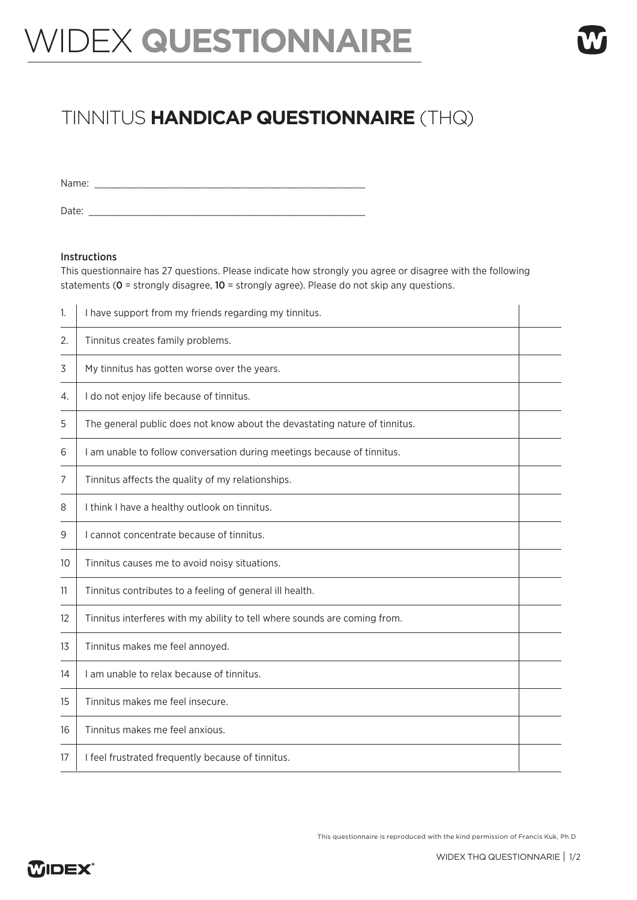## WIDEX **QUESTIONNAIRE**

## TINNITUS **HANDICAP QUESTIONNAIRE** (THQ)

Name: \_\_\_\_\_\_\_\_\_\_\_\_\_\_\_\_\_\_\_\_\_\_\_\_\_\_\_\_\_\_\_\_\_\_\_\_\_\_\_\_\_\_\_\_\_\_\_\_

Date: \_\_\_\_\_\_\_\_\_\_\_\_\_\_\_\_\_\_\_\_\_\_\_\_\_\_\_\_\_\_\_\_\_\_\_\_\_\_\_\_\_\_\_\_\_\_\_\_\_

## Instructions

This questionnaire has 27 questions. Please indicate how strongly you agree or disagree with the following statements (0 = strongly disagree, 10 = strongly agree). Please do not skip any questions.

| 1. | I have support from my friends regarding my tinnitus.                      |  |
|----|----------------------------------------------------------------------------|--|
| 2. | Tinnitus creates family problems.                                          |  |
| 3  | My tinnitus has gotten worse over the years.                               |  |
| 4. | I do not enjoy life because of tinnitus.                                   |  |
| 5  | The general public does not know about the devastating nature of tinnitus. |  |
| 6  | I am unable to follow conversation during meetings because of tinnitus.    |  |
| 7  | Tinnitus affects the quality of my relationships.                          |  |
| 8  | I think I have a healthy outlook on tinnitus.                              |  |
| 9  | I cannot concentrate because of tinnitus.                                  |  |
| 10 | Tinnitus causes me to avoid noisy situations.                              |  |
| 11 | Tinnitus contributes to a feeling of general ill health.                   |  |
| 12 | Tinnitus interferes with my ability to tell where sounds are coming from.  |  |
| 13 | Tinnitus makes me feel annoyed.                                            |  |
| 14 | I am unable to relax because of tinnitus.                                  |  |
| 15 | Tinnitus makes me feel insecure.                                           |  |
| 16 | Tinnitus makes me feel anxious.                                            |  |
| 17 | I feel frustrated frequently because of tinnitus.                          |  |

This questionnaire is reproduced with the kind permission of Francis Kuk, Ph.D